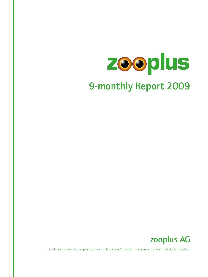# zooplus 9-monthly Report 2009



zooplus.de zooplus.com zooplus.co.uk zooplus.ie zooplus.fr zooplus.nl zooplus.be zooplus.it zooplus.es zooplus.pl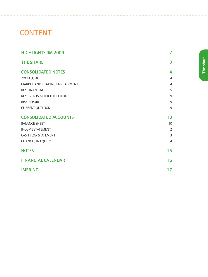## **CONTENT**

 $\sim$ 

 $\sim$ 

| <b>HIGHLIGHTS 9M 2009</b>          | $\overline{2}$ |
|------------------------------------|----------------|
| <b>THE SHARE</b>                   | $\overline{3}$ |
| <b>CONSOLIDATED NOTES</b>          | 4              |
| ZOOPLUS AG                         | $\overline{4}$ |
| MARKET AND TRADING ENVIRONMENT     | $\overline{4}$ |
| <b>KEY FINANCIALS</b>              | 5              |
| <b>KEY EVENTS AFTER THE PERIOD</b> | $\overline{9}$ |
| <b>RISK REPORT</b>                 | $\overline{9}$ |
| <b>CURRENT OUTLOOK</b>             | 9              |
| <b>CONSOLIDATED ACCOUNTS</b>       | 10             |
| <b>BALANCE SHEET</b>               | 10             |
| <b>INCOME STATEMENT</b>            | 12             |
| <b>CASH FLOW STATEMENT</b>         | 13             |
| <b>CHANGES IN EQUITY</b>           | 14             |
| <b>NOTES</b>                       | 15             |
| <b>FINANCIAL CALENDAR</b>          | 16             |
| <b>IMPRINT</b>                     | 17             |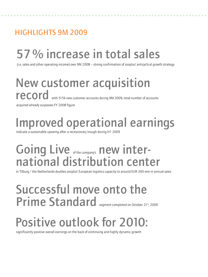## Highlights 9M 2009

## 57% increase in total sales

(i.e. sales and other operating income) over 9M 2008 – strong confirmation of zooplus' anticyclical growth strategy

New customer acquisition record with 515k new customer accounts during 9M 2009; total number of accounts acquired already surpasses FY 2008 figure

Improved operational earnings

indicate a sustainable upswing after a recessionary trough during H1 2009

## Going Live of the company's new international distribution center

in Tilburg/the Netherlands doubles zooplus' European logistics capacity to around EUR 300 mm in annual sales

## Successful move onto the Prime Standard segment completed on October 21st, 2009

## Positive outlook for 2010:

significantly positive overall earnings on the back of continuing and highly dynamic growth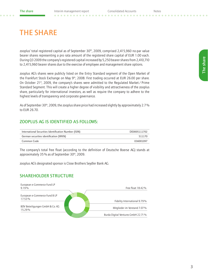### **THE SHARE**

zooplus' total registered capital as of September 30<sup>th</sup>, 2009, comprised 2,415,960 no-par value bearer shares representing a pro rata amount of the registered share capital of EUR 1.00 each. During Q3 2009 the company's registered capital increased by 5,250 bearer shares from 2,410,710 to 2,415,960 bearer shares due to the exercise of employee and management share options.

zooplus AG's shares were publicly listed on the Entry Standard segment of the Open Market of the Frankfurt Stock Exchange on May 9<sup>th</sup>, 2008. First trading occurred at EUR 26.00 per share. On October 21<sup>st</sup>, 2009, the company's shares were admitted to the Regulated Market/Prime Standard Segment. This will create a higher degree of visibility and attractiveness of the zooplus share, particularly for international investors, as well as require the company to adhere to the highest levels of transparency and corporate governance.

As of September 30<sup>th</sup>, 2009, the zooplus share price had increased slightly by approximately 2.7% to EUR 26.70.

#### zooplus AG is identified as follows:

| International Securities Identification Number (ISIN) | DE0005111702 |
|-------------------------------------------------------|--------------|
| German securities identification (WKN)                | 511170       |
| Common Code                                           | 036001097    |

The company's total free float (according to the definition of Deutsche Boerse AG) stands at approximately 35% as of September 30<sup>th</sup>, 2009.

zooplus AG's designated sponsor is Close Brothers Seydler Bank AG.

#### SHARFHOLDER STRUCTURE

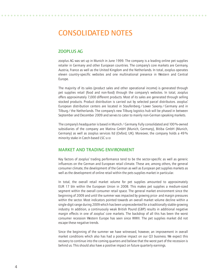### Consolidated notes

#### zooplus AG

zooplus AG was set up in Munich in June 1999. The company is a leading online pet supplies retailer in Germany and other European countries. The company's core markets are Germany, Austria, France as well as the United Kingdom and the Netherlands. In total, zooplus operates eleven country-specific websites and one multinational presence in Western and Central Europe.

The majority of its sales (product sales and other operational income) is generated through pet supplies retail (food and non-food) through the company's websites. In total, zooplus offers approximately 7,000 different products. Most of its sales are generated through selling stocked products. Product distribution is carried out by selected parcel distributors. zooplus' European distribution centers are located in Staufenberg/ Lower Saxony/Germany and in Tilburg/the Netherlands. The company's new Tilburg logistics hub will be phased in between September and December 2009 and serves to cater to mainly non-German speaking markets.

The company's headquarter is based in Munich/Germany. Fully consolidated and 100%-owned subsidiaries of the company are Matina GmbH (Munich, Germany), Bitiba GmbH (Munich, Germany) as well as zooplus services ltd (Oxford, UK). Moreover, the company holds a 49% minority stake in Czech-based LSC s.r.o

#### Market and Trading Environment

Key factors of zooplus' trading performance tend to be the sector-specific as well as generic influences on the German and European retail climate. These are, among others, the general consumer climate, the development of the German as well as European pet supplies markets as well as the development of online retail within the pets supplies market in particular.

In total, the overall retail market volume for pet supplies amounted to approximately EUR 17 bln within the European Union in 2008. This makes pet supplies a medium-sized segment within the overall consumer retail space. The general market environment since the beginning of 2009 and until the summer was impacted by growing price- and margin pressures within the sector. Most indicators pointed towards an overall market volume decline within a single-digit range during 2009 which has been unprecedented for a traditionally stable-growing industry. In addition, a continuously weak British Pound (GBP) results in additional negative margin effects in one of zooplus' core markets. The backdrop of all this has been the worst consumer recession Western Europe has seen since WWII. The pet supplies market did not escape these negative trends.

Since the beginning of the summer we have witnessed, however, an improvement in overall market conditions which also has had a positive impact on our Q3 business. We expect this recovery to continue into the coming quarters and believe that the worst part of the recession is behind us. This should also have a positive impact on future quarterly earnings.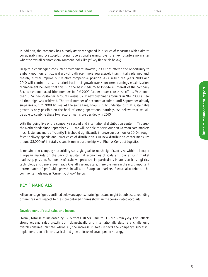In addition, the company has already actively engaged in a series of measures which aim to considerably improve zooplus' overall operational earnings over the next quarters no matter what the overall economic environment looks like (cf. key financials below).

Despite a challenging consumer environment, however, 2009 has offered the opportunity to embark upon our anticyclical growth path even more aggressively than initially planned and, thereby, further improve our relative competitive position. As a result, the years 2009 and 2010 will continue to see a prioritization of growth over short-term earnings maximization. Management believes that this is in the best medium- to long-term interest of the company. Record customer acquisition numbers for 9M 2009 further underscore these efforts. With more than 515k new customer accounts versus 323k new customer accounts in 9M 2008 a new all-time high was achieved. The total number of accounts acquired until September already surpasses our FY 2008 figures. At the same time, zooplus fully understands that sustainable growth is only possible on the back of strong operational earnings. We believe that we will be able to combine these two factors much more decidedly in 2010.

With the going live of the company's second and international distribution center in Tilburg / the Netherlands since September 2009 we will be able to serve our non-German core markets much faster and more efficiently. This should significantly improve our position for 2010 through faster delivery speeds and lower costs of distribution. Our new distribution center measures around 38,000 m² in total size and is run in partnership with Rhenus Contract Logistics.

It remains the company's overriding strategic goal to reach significant size within all major European markets on the back of substantial economies of scale and our existing market leadership position. Economies of scale will prove crucial particularly in areas such as logistics, technology and general overheads. Overall size and scale, therefore, remain the most important determinants of profitable growth in all core European markets. Please also refer to the comments made under "Current Outlook" below.

#### Key financials

All percentage figures outlined below are approximate figures and might be subject to rounding differences with respect to the more detailed figures shown in the consolidated accounts.

#### Development of total sales and income

Overall, total sales increased by 57% from EUR 58.9 mm to EUR 92.5 mm y-o-y. This reflects strong organic sales growth both domestically and internationally despite a challenging overall consumer climate. Above all, the increase in sales reflects the company's successful implementation of its anticyclical and growth-focused development strategy.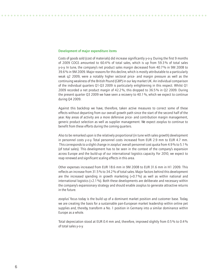#### Development of major expenditure items

Costs of goods sold (cost of materials) did increase significantly y-o-y. During the first 9 months of 2009 COGS amounted to 60.4% of total sales, which is up from 59.3% of total sales y-o-y. In tune, the company's net product sales margin decreased from 40.7% in 9M 2008 to 39.6% in 9M 2009. Major reasons for this decline, which is mostly attributable to a particularly weak q2 2009, were a notably higher sectoral price- and margin pressure as well as the continuing weakness of the British Pound (GBP) in our key market UK. An individual comparison of the individual quarters Q1-Q3 2009 is particularly enlightening in this respect. Whilst Q1 2009 recorded a net product margin of 42.2%, this dropped to 36.5% in Q2 2009. During the present quarter Q3 2009 we have seen a recovery to 40.1%, which we expect to continue during Q4 2009.

Against this backdrop we have, therefore, taken active measures to correct some of these effects without departing from our overall growth path since the start of the second half of the year. Key areas of activity are a more defensive price- and contribution margin management, generic product selection as well as supplier management. We expect zooplus to continue to benefit from these efforts during the coming quarters.

Also to be remarked upon is the relatively proportional (in tune with sales growth) development in personnel costs y-o-y. Total personnel costs increased from EUR 2.9 mm to EUR 4.7 mm. This corresponds to a slight change in zooplus' overall personnel cost quota from 4.9% to 5.1% (of total sales). This development has to be seen in the context of the company's expansion across Europe and the build-up of our international logistics capacity. For 2010, we expect to reap renewed and significant scaling effects in this area.

Other expenses increased from EUR 18.6 mm in 9M 2008 to EUR 31.6 mm in H1 2009. This reflects an increase from 31.5% to 34.2% of total sales. Major factors behind this development are the increased spending in growth marketing (+0.7%) as well as within national and international logistics (+2.1%). Both these developments are deliberate and necessary within the company's expansionary strategy and should enable zooplus to generate attractive returns in the future.

zooplus' focus today is the build up of a dominant market position and customer base. Today, we are creating the basis for a sustainable pan-European market leadership within online pet supplies and, thereby, transform a No. 1 position in Germany into a similar dominance within Europe as a whole.

Total depreciation stood at EUR 0.4 mm and, therefore, improved slightly from 0.5% to 0.4% of total sales y-o-y.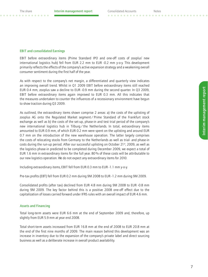#### EBIT and consolidated Earnings

EBIT before extraordinary items (Prime Standard IPO and one-off costs of zooplus' new international logistics hub) fell from EUR 2.2 mm to EUR -0.2 mm y-o-y. This development primarily reflects the effects of the company's active expansion strategy and a weakening overall consumer sentiment during the first half of the year.

As with respect to the company's net margin, a differentiated and quarterly view indicates an improving overall trend. Whilst in Q1 2009 EBIT before extraordinary items still reached EUR 0.4 mm, zooplus saw a decline to EUR -0.9 mm during the second quarter. In Q3 2009, EBIT before extraordinary items again improved to EUR 0.3 mm. All this indicates that the measures undertaken to counter the influences of a recessionary environment have begun to show traction during Q3 2009.

As outlined, the extraordinary items shown comprise 2 areas: a) the costs of the uplisting of zooplus AG onto the Regulated Market segment/ Prime Standard of the Frankfurt stock exchange as well as b) the costs of the set-up, phase-in and test trial period of the company's new international logistics hub in Tilburg/the Netherlands. In total, extraordinary items amounted to EUR 0.9 mm, of which EUR 0.2 mm were spent on the uplisting and around EUR 0.7 mm on the introduction of the new warehouse operation. The latter largely comprises the costs of relocating stocks from Germany to the Netherlands as well as trial- and phase-in costs during the run-up period. After our successful uplisting on October  $21<sup>st</sup>$ , 2009, as well as the logistics phase-in predicted to be completed during December 2009, we expect a total of EUR 1.6 mm in extraordinary items for the full year. 80% of these costs will be attributable to our new logistics operation. We do not expect any extraordinary items for 2010.

Including extraordinary items, EBIT fell from EUR 0.3 mm to EUR -1.1 mm y-o-y.

Pre-tax profits (EBT) fell from EUR 0.2 mm during 9M 2008 to EUR -1.2 mm during 9M 2009.

Consolidated profits (after tax) declined from EUR 4.8 mm during 9M 2008 to EUR -0.8 mm during 9M 2009. The key factor behind this is a positive 2008 one-off effect due to the capitalization of losses carried forward under IFRS rules with an overall impact of EUR 4.6 mm.

#### Assets and Financing

Total long-term assets were EUR 6.6 mm at the end of September 2009 and, therefore, up slightly from EUR 5.9 mm at year end 2008.

Total short-term assets increased from EUR 16.8 mm at the end of 2008 to EUR 20.8 mm at the end of the first nine months of 2009. The main reason behind this development was an increase in inventory due to the expansion of the company's private label and direct sourcing business as well as a deliberate increase in overall product availability.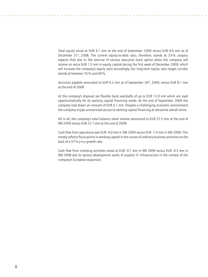Total equity stood at EUR 9.1 mm at the end of September 2009 versus EUR 9.9 mm as of December 31<sup>st</sup>, 2008. The current equity-to-debt ratio, therefore, stands at 33%. zooplus expects that due to the exercise of various executive stock option plans the company will receive an extra EUR 1.5 mm in equity capital during the first week of December 2009, which will increase the company's equity ratio accordingly. Our long-term equity ratio target corridor stands at between 35% and 40%.

Accounts payable amounted to EUR 6.2 mm as of September 30<sup>th</sup>, 2009, versus EUR 8.1 mm at the end of 2008.

At the company's disposal are flexible bank overdrafts of up to EUR 12.0 mm which are used opportunistically for its working capital financing needs. At the end of September 2009 the company had drawn an amount of EUR 6.1 mm. Despite a challenging economic environment the company enjoys unrestricted access to working capital financing at attractive overall terms.

All in all, the company's total balance sheet volume amounted to EUR 27.5 mm at the end of 9M 2009 versus EUR 22.7 mm at the end of 2008.

Cash flow from operations was EUR -4.0 mm in 9M 2009 versus EUR -1.4 mm in 9M 2008. This mostly reflects fluctuations in working capital in the course of ordinary business activities on the back of a 57% y-o-y growth rate.

Cash flow from investing activities stood at EUR -0.7 mm in 9M 2009 versus EUR -0.3 mm in 9M 2008 due to various development works of zooplus' IT infrastructure in the context of the company's European expansion.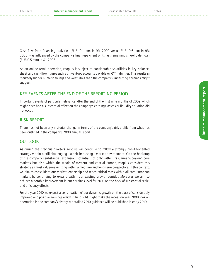Cash flow from financing activities (EUR -0.1 mm in 9M 2009 versus EUR -0.6 mm in 9M 2008) was influenced by the company's final repayment of its last remaining shareholder loan (EUR 0.5 mm) in Q1 2008.

As an online retail operation, zooplus is subject to considerable volatilities in key balancesheet and cash-flow figures such as inventory, accounts payable or VAT liabilities. This results in markedly higher numeric swings and volatilities than the company's underlying earnings might suggest.

#### Key events after the end of the reporting period

Important events of particular relevance after the end of the first nine months of 2009 which might have had a substantial effect on the company's earnings, assets or liquidity situation did not occur.

#### Risk Report

There has not been any material change in terms of the company's risk profile from what has been outlined in the company's 2008 annual report.

#### **OUTLOOK**

As during the previous quarters, zooplus will continue to follow a strongly growth-oriented strategy within a still challenging - albeit improving - market environment. On the backdrop of the company's substantial expansion potential not only within its German-speaking core markets but also within the whole of western and central Europe, zooplus considers this strategy as most value-maximizing within a medium- and long-term perspective. In this context, we aim to consolidate our market leadership and reach critical mass within all core European markets by continuing to expand within our existing growth corridor. Moreover, we aim to achieve a notable improvement in our earnings level for 2010 on the back of substantial scaleand efficiency effects.

For the year 2010 we expect a continuation of our dynamic growth on the back of considerably improved and positive earnings which in hindsight might make the recession year 2009 look an aberration in the company's history. A detailed 2010 guidance will be published in early 2010.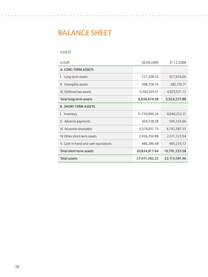## Balance Sheet

#### **ASSETS**

| in EUR                               | 30.09.2009    | 31.12.2008    |
|--------------------------------------|---------------|---------------|
| A. LONG-TERM ASSETS                  |               |               |
| I. Long-term assets                  | 727,208.33    | 617,976.05    |
| II. Intangible assets                | 568,758.74    | 380,710.71    |
| III. Deferred tax assets             | 5,340,507.51  | 4,925,571.12  |
| Total long-term assets               | 6,636,474.58  | 5,924,257.88  |
| <b>B. SHORT-TERM ASSETS</b>          |               |               |
| Inventory<br>I.                      | 11,730,990.26 | 9,046,252.31  |
| II. Advance payments                 | 304,738.28    | 545,535.66    |
| III. Accounts receivable             | 5,376,651.73  | 4,162,587.35  |
| IV. Other short-term assets          | 2,936,250.89  | 2,571,722.54  |
| V. Cash in hand and cash equivalents | 486,286.48    | 465,235.72    |
| Total short-term assets              | 20,834,917.64 | 16,791,333.58 |
| <b>Total assets</b>                  | 27,471,392.22 | 22,715,591.46 |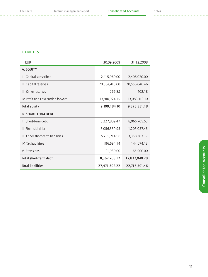$\sim$   $\sim$ 

 $\sim$ 

#### **LIABILITIES**

| <b>Total liabilities</b>            | 27,471,392.22    | 22,715,591.46    |
|-------------------------------------|------------------|------------------|
| Total short-term debt               | 18,362,208.12    | 12,837,040.28    |
| V. Provisions                       | 91,930.00        | 65,900.00        |
| IV. Tax liabilities                 | 196,694.14       | 144,074.13       |
| III. Other short-term liabilities   | 5,789,214.56     | 3,358,303.17     |
| II. Financial debt                  | 6,056,559.95     | 1,203,057.45     |
| Short-term debt<br>$\mathbf{L}$     | 6,227,809.47     | 8,065,705.53     |
| <b>B. SHORT-TERM DEBT</b>           |                  |                  |
| <b>Total equity</b>                 | 9,109,184.10     | 9,878,551.18     |
| IV. Profit and Loss carried forward | $-13,910,924.15$ | $-13,083,113.10$ |
| III. Other reserves                 | $-266.83$        | $-402.18$        |
| II. Capital reserves                | 20,604,415.08    | 20,556,046.46    |
| Capital subscribed<br>I.            | 2,415,960.00     | 2,406,020.00     |
| A. EQUITY                           |                  |                  |
| in EUR                              | 30.09.2009       | 31.12.2008       |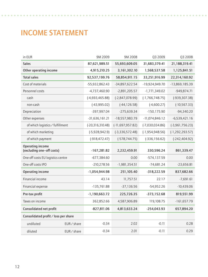## Income Statement

| in EUR                                        |           | 9M 2009              | 9M 2008              | Q3 2009             | Q3 2008             |
|-----------------------------------------------|-----------|----------------------|----------------------|---------------------|---------------------|
| <b>Sales</b>                                  |           | 87,621,989.51        | 55,693,609.05        | 31,683,379.41       | 21,188,319.41       |
| Other operating income                        |           | 4,915,210.25         | 3,161,302.10         | 1,568,537.58        | 1,125,841.51        |
| <b>Total sales</b>                            |           | 92,537,199.76        | 58,854,911.15        | 33,251,916.99       | 22,314,160.92       |
| Cost of materials                             |           | -55,932,862.43       | -34,897,622.54       | -19,924,949.70      | $-13,869,185.39$    |
| Personnel costs                               |           | $-4,737,460.90$      | $-2,891,205.57$      | $-1,771,349.02$     | $-949,874.71$       |
| cash                                          |           | $(-4,693,465.88)$    | $(-2,847,078.99)$    | $(-1, 766, 748.75)$ | $(-939, 307.38)$    |
| non-cash                                      |           | $(-43,995.02)$       | $(-44, 126.58)$      | $(-4,600.27)$       | $(-10, 567.33)$     |
| Depreciation                                  |           | -397,997.04          | $-275,639.34$        | $-150, 175.90$      | $-94,340.20$        |
| Other expenses                                |           | $-31,636,161.21$     | $-18,557,983.79$     | $-11,074,846.12$    | $-6,539,421.16$     |
| of which logistics / fulfillment              |           | $(-20, 316, 310.48)$ | $(-11, 697, 957.82)$ | $(-7,030,034.86)$   | $(-3,961,756.23)$   |
| of which marketing                            |           | $(-5,928,942.9)$     | $(-3,336,572.48)$    | $(-1, 954, 948.56)$ | $(-1, 292, 293.57)$ |
| of which payment                              |           | $(-918, 472.47)$     | $(-578, 744.75)$     | $(-336, 156.62)$    | $(-242, 404.92)$    |
| Operating income<br>(excluding one-off costs) |           | $-167,281.82$        | 2,232,459.91         | 330,596.24          | 861,339.47          |
| One-off costs EU logistics centre             |           | $-677,384.60$        | 0.00                 | $-574,137.59$       | 0.00                |
| One-off costs IPO                             |           | $-210,278.56$        | $-1,981,354.51$      | $-74,681.24$        | $-23,656.81$        |
|                                               |           |                      |                      |                     |                     |
| <b>Operating income</b>                       |           | $-1,054,944.98$      | 251,105.40           | $-318,222.59$       | 837,682.66          |
| Financial income                              |           | 43.14                | 11,757.51            | 22.17               | $-7,691.61$         |
| Financial expense                             |           | $-135,761.88$        | $-37,136.56$         | $-54,952.26$        | $-10,439.06$        |
| Pre-tax profit                                |           | $-1,190,663.72$      | 225,726.35           | $-373,152.68$       | 819,551.99          |
| Taxes on income                               |           | 362,852.66           | 4,587,906.89         | 119,108.75          | $-161,657.79$       |
| Consolidated net profit                       |           | $-827,811.06$        | 4,813,633.24         | $-254,043.93$       | 657,894.20          |
| Consolidated profit / loss per share          |           |                      |                      |                     |                     |
| undiluted                                     | EUR/share | $-0.34$              | 2.02                 | $-0.11$             | 0.28                |
| diluted                                       | EUR/share | $-0.34$              | 2.01                 | $-0.11$             | 0.29                |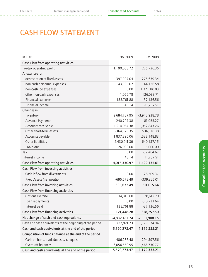. . . . . . . . . . . . . . . .

## **CASH FLOW STATEMENT**

| in EUR                                                   | 9M 2009         | 9M 2008           |
|----------------------------------------------------------|-----------------|-------------------|
| Cash Flow from operating activities                      |                 |                   |
| Pre-tax operating profit                                 | $-1,190,663.72$ | 225,726.35        |
| Allowances for:                                          |                 |                   |
| depreciation of fixed assets                             | 397,997.04      | 275,639.34        |
| non-cash personnel expenses                              | 43,995.02       | 44,126.58         |
| non-cash ipo expenses                                    | 0.00            | 1,371,110.83      |
| other non-cash expenses                                  | 1,066.78        | 126,088.71        |
| Financial expenses                                       | 135,761.88      | 37,136.56         |
| Financial income                                         | $-43.14$        | $-11,757.51$      |
| Changes in:                                              |                 |                   |
| Inventory                                                | $-2,684,737.95$ | $-3,942,938.78$   |
| Advance Payments                                         | 240,797.38      | 81,955.27         |
| Accounts receivable                                      | $-1,214,064.38$ | $-1,052,843.26$   |
| Other short-term assets                                  | $-364,528.35$   | 536,316.38        |
| Accounts payable                                         | -1,837,896.06   | 1,538,148.83      |
| Other liabilities                                        | 2,430,911.39    | $-640, 137.15$    |
| Provisions                                               | 26,030.00       | 15,000.00         |
| Тах                                                      | 0.00            | $-37,464.67$      |
| Interest income                                          | 43.14           | 11,757.51         |
| Cash Flow from operating activities                      | $-4,015,330.97$ | $-1,422,135.01$   |
| Cash Flow from investing activities                      |                 |                   |
| Cash inflow from divestments                             | 0.00            | 28,309.37         |
| Fixed Assets (net position)                              | $-695,672.49$   | $-339,325.01$     |
| Cash Flow from investing activities                      | $-695,672.49$   | $-311,015.64$     |
| Cash Flow from financing activities                      |                 |                   |
| Options exercise                                         | 14,313.60       | 28,612.70         |
| Loan repayments                                          | 0.00            | $-610,233.64$     |
| Interest paid                                            | $-135,761.88$   | $-37,136.56$      |
| Cash Flow from financing activities                      | $-121,448.28$   | $-618,757.50$     |
| Net change of cash and cash equivalents                  | $-4,832,451.74$ | $-2,351,908.15$   |
| Cash and cash equivalents at the beginning of the period | -737,821.73     | 1,179,574.94      |
| Cash and cash equivalents at the end of the period       | $-5,570,273.47$ | $-1, 172, 333.21$ |
| Composition of funds balance at the end of the period    |                 |                   |
| Cash on hand, bank deposits, cheques                     | 486,286.48      | 294,397.56        |
| Overdraft balances                                       | $-6,056,559.95$ | $-1,466,730.77$   |
| Cash and cash equivalents at the end of the period       | $-5,570,273.47$ | $-1, 172, 333.21$ |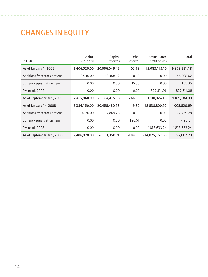## **CHANGES IN EQUITY**

| in EUR                       | Capital<br>subsribed | Capital<br>reserves | Other<br>reserves | Accumulated<br>profit or loss | Total         |
|------------------------------|----------------------|---------------------|-------------------|-------------------------------|---------------|
| As of January 1, 2009        | 2,406,020.00         | 20,556,046.46       | $-402.18$         | $-13,083,113.10$              | 9,878,551.18  |
| Additions from stock options | 9,940.00             | 48,368.62           | 0.00              | 0.00                          | 58,308.62     |
| Currency equalisation item   | 0.00                 | 0.00                | 135.35            | 0.00                          | 135.35        |
| 9M result 2009               | 0.00                 | 0.00                | 0.00              | $-827,811.06$                 | $-827,811.06$ |
| As of September 30th, 2009   | 2,415,960.00         | 20,604,415.08       | $-266.83$         | $-13,910,924.16$              | 9,109,184.08  |
| As of January 1st, 2008      | 2,386,150.00         | 20,458,480.93       | $-9.32$           | $-18,838,800.92$              | 4,005,820.69  |
| Additions from stock options | 19,870.00            | 52,869.28           | 0.00              | 0.00                          | 72,739.28     |
| Currency equalisation item   | 0.00                 | 0.00                | $-190.51$         | 0.00                          | $-190.51$     |
| 9M result 2008               | 0.00                 | 0.00                | 0.00              | 4,813,633.24                  | 4,813,633.24  |
| As of September 30th, 2008   | 2,406,020.00         | 20,511,350.21       | $-199.83$         | $-14,025,167.68$              | 8,892,002.70  |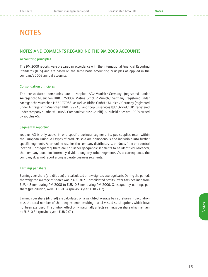## **NOTES**

#### Notes and comments regarding the 9M 2009 accounts

#### Accounting principles

The 9M 2009 reports were prepared in accordance with the International Financial Reporting Standards (IFRS) and are based on the same basic accounting principles as applied in the company's 2008 annual accounts.

#### Consolidation principles

The consolidated companies are: zooplus AG/Munich/Germany (registered under Amtsgericht Muenchen HRB 125080), Matina GmbH / Munich / Germany (registered under Amtsgericht Muenchen HRB 177083) as well as Bitiba GmbH / Munich / Germany (registered under Amtsgericht Muenchen HRB 177246) and zooplus services ltd / Oxford / UK (registered under company number 6118453, Companies House Cardiff). All subsidiaries are 100% owned by zooplus AG.

#### Segmental reporting

zooplus AG is only active in one specific business segment; i.e. pet supplies retail within the European Union. All types of products sold are homogenous and indivisible into further specific segments. As an online retailer, the company distributes its products from one central location. Consequently, there are no further geographic segments to be identified. Moreover, the company does not internally divide along any other segments. As a consequence, the company does not report along separate business segments.

#### Earnings per share

Earnings per share (pre-dilution) are calculated on a weighted-average basis. During the period, the weighted average of shares was 2,409,302. Consolidated profits (after tax) declined from EUR 4.8 mm during 9M 2008 to EUR -0.8 mm during 9M 2009. Consequently, earnings per share (pre-dilution) were EUR -0.34 (previous year: EUR 2.02).

Earnings per share (diluted) are calculated on a weighted-average basis of shares in circulation plus the total number of share equivalents resulting out of vested stock options which have not been exercised. The dilution effect only marginally affects earnings per share which remain at EUR -0.34 (previous year: EUR 2.01).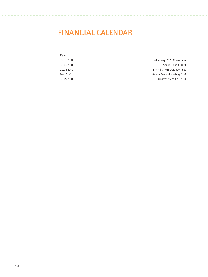### Financial calendar

| Date       |                              |
|------------|------------------------------|
| 29.01.2010 | Preliminary FY 2009 revenues |
| 31.03.2010 | Annual Report 2009           |
| 29.04.2010 | Preliminary g1 2010 revenues |
| May 2010   | Annual General Meeting 2010  |
| 31.05.2010 | Quarterly report q1 2010     |

 $\sim$  $\sim$  $\sim$  $\sim$  $\sim$  $\sim$ 

. . . . . .

 $\overline{\phantom{a}}$ 

 $\mathbf{A} \mathbf{A} \mathbf{A} \mathbf{A}$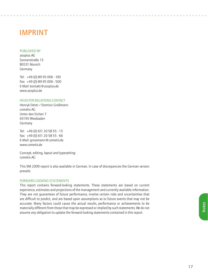### **IMPRINT**

#### Published by

zooplus AG Sonnenstraße 15 80331 Munich Germany

Tel: +49 (0) 89 95 006 - 100 Fax: +49 (0) 89 95 006 - 500 E-Mail: kontakt@zooplus.de www.zooplus.de

#### Investor Relations Contact

Henryk Deter/ Dominic Großmann cometis AG Unter den Eichen 7 65195 Wiesbaden Germany

Tel: +49 (0) 611 20 58 55 - 15 Fax: +49 (0) 611 20 58 55 - 66 E-Mail: grossmann@cometis.de www.cometis.de

Concept, editing, layout and typesetting: cometis AG

This 9M 2009 report is also available in German. In case of discrepancies the German version prevails.

#### Forward looking Statements

This report contains forward-looking statements. These statements are based on current experience, estimates and projections of the management and currently available information. They are not guarantees of future performance, involve certain risks and uncertainties that are difficult to predict, and are based upon assumptions as to future events that may not be accurate. Many factors could cause the actual results, performance or achievements to be materially different from those that may be expressed or implied by such statements. We do not assume any obligation to update the forward-looking statements contained in this report.